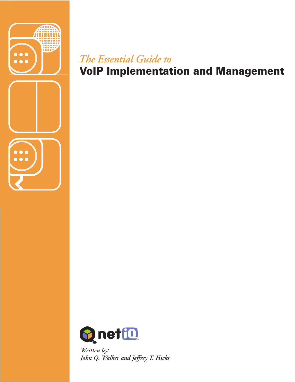

# VoIP Implementation and Management *The Essential Guide to*



*Written by: John Q. Walker and Jeffrey T. Hicks*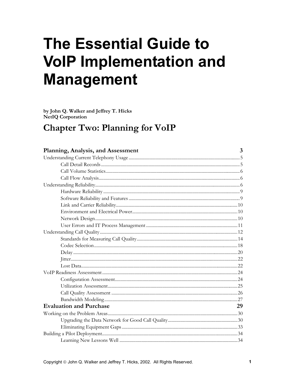# **The Essential Guide to VoIP Implementation and Management**

by John Q. Walker and Jeffrey T. Hicks **NetIQ Corporation** 

# **Chapter Two: Planning for VoIP**

| Planning, Analysis, and Assessment | 3  |
|------------------------------------|----|
|                                    |    |
|                                    |    |
|                                    |    |
|                                    |    |
|                                    |    |
|                                    |    |
|                                    |    |
|                                    |    |
|                                    |    |
|                                    |    |
|                                    |    |
|                                    |    |
|                                    |    |
|                                    |    |
|                                    |    |
|                                    |    |
|                                    |    |
|                                    |    |
|                                    |    |
|                                    |    |
|                                    |    |
|                                    |    |
| <b>Evaluation and Purchase</b>     | 29 |
|                                    |    |
|                                    |    |
|                                    |    |
|                                    |    |
|                                    |    |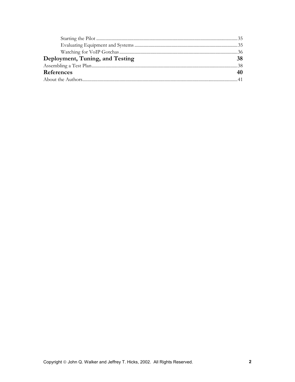| Deployment, Tuning, and Testing |  |
|---------------------------------|--|
|                                 |  |
| References                      |  |
|                                 |  |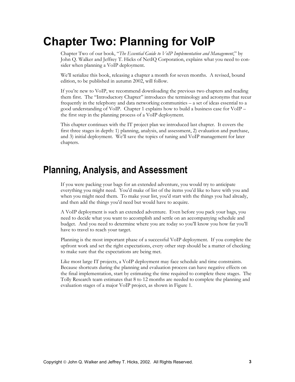# <span id="page-3-0"></span>**Chapter Two: Planning for VoIP**

Chapter Two of our book, "*The Essential Guide to VoIP Implementation and Management*," by John Q. Walker and Jeffrey T. Hicks of NetIQ Corporation, explains what you need to consider when planning a VoIP deployment.

We'll serialize this book, releasing a chapter a month for seven months. A revised, bound edition, to be published in autumn 2002, will follow.

If you're new to VoIP, we recommend downloading the previous two chapters and reading them first. The "Introductory Chapter" introduces the terminology and acronyms that recur frequently in the telephony and data networking communities – a set of ideas essential to a good understanding of VoIP. Chapter 1 explains how to build a business case for VoIP – the first step in the planning process of a VoIP deployment.

This chapter continues with the IT project plan we introduced last chapter. It covers the first three stages in depth: 1) planning, analysis, and assessment, 2) evaluation and purchase, and 3) initial deployment. We'll save the topics of tuning and VoIP management for later chapters.

# **Planning, Analysis, and Assessment**

If you were packing your bags for an extended adventure, you would try to anticipate everything you might need. You'd make of list of the items you'd like to have with you and when you might need them. To make your list, you'd start with the things you had already, and then add the things you'd need but would have to acquire.

A VoIP deployment is such an extended adventure. Even before you pack your bags, you need to decide what you want to accomplish and settle on an accompanying schedule and budget. And you need to determine where you are today so you'll know you how far you'll have to travel to reach your target.

Planning is the most important phase of a successful VoIP deployment. If you complete the upfront work and set the right expectations, every other step should be a matter of checking to make sure that the expectations are being met.

Like most large IT projects, a VoIP deployment may face schedule and time constraints. Because shortcuts during the planning and evaluation process can have negative effects on the final implementation, start by estimating the time required to complete these stages. The Tolly Research team estimates that 8 to 12 months are needed to complete the planning and evaluation stages of a major VoIP project, as shown in [Figure 1.](#page-4-0)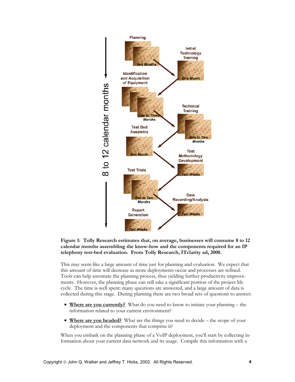<span id="page-4-0"></span>

#### **Figure 1: Tolly Research estimates that, on average, businesses will consume 8 to 12 calendar months assembling the know-how and the components required for an IP telephony test-bed evaluation. From Tolly Research, ITclarity ad, 2000.**

This may seem like a large amount of time just for planning and evaluation. We expect that this amount of time will decrease as more deployments occur and processes are refined. Tools can help automate the planning process, thus yielding further productivity improvements. However, the planning phase can still take a significant portion of the project life cycle. The time is well spent: many questions are answered, and a large amount of data is collected during this stage. During planning there are two broad sets of questions to answer:

- **Where are you currently?** What do you need to know to initiate your planning the information related to your current environment?
- **Where are you headed?** What are the things you need to decide the scope of your deployment and the components that comprise it?

When you embark on the planning phase of a VoIP deployment, you'll start by collecting information about your current data network and its usage. Compile this information with a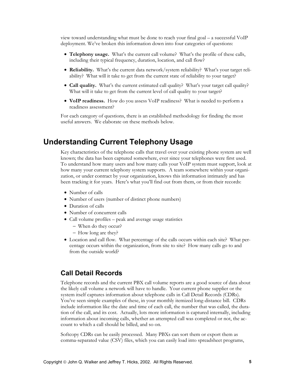<span id="page-5-0"></span>view toward understanding what must be done to reach your final goal – a successful VoIP deployment. We've broken this information down into four categories of questions:

- **Telephony usage.** What's the current call volume? What's the profile of these calls, including their typical frequency, duration, location, and call flow?
- **Reliability.** What's the current data network/system reliability? What's your target reliability? What will it take to get from the current state of reliability to your target?
- **Call quality.** What's the current estimated call quality? What's your target call quality? What will it take to get from the current level of call quality to your target?
- **VoIP readiness.** How do you assess VoIP readiness? What is needed to perform a readiness assessment?

For each category of questions, there is an established methodology for finding the most useful answers. We elaborate on these methods below.

### **Understanding Current Telephony Usage**

Key characteristics of the telephone calls that travel over your existing phone system are well known; the data has been captured somewhere, ever since your telephones were first used. To understand how many users and how many calls your VoIP system must support, look at how many your current telephony system supports. A team somewhere within your organization, or under contract by your organization, knows this information intimately and has been tracking it for years. Here's what you'll find out from them, or from their records:

- Number of calls
- Number of users (number of distinct phone numbers)
- Duration of calls
- Number of concurrent calls
- Call volume profiles peak and average usage statistics
	- − When do they occur?
	- − How long are they?
- Location and call flow. What percentage of the calls occurs within each site? What percentage occurs within the organization, from site to site? How many calls go to and from the outside world?

### **Call Detail Records**

Telephone records and the current PBX call volume reports are a good source of data about the likely call volume a network will have to handle. Your current phone supplier or the system itself captures information about telephone calls in Call Detail Records (CDRs). You've seen simple examples of these, in your monthly itemized long-distance bill. CDRs include information like the date and time of each call, the number that was called, the duration of the call, and its cost. Actually, lots more information is captured internally, including information about incoming calls, whether an attempted call was completed or not, the account to which a call should be billed, and so on.

Softcopy CDRs can be easily processed. Many PBXs can sort them or export them as comma-separated value (CSV) files, which you can easily load into spreadsheet programs,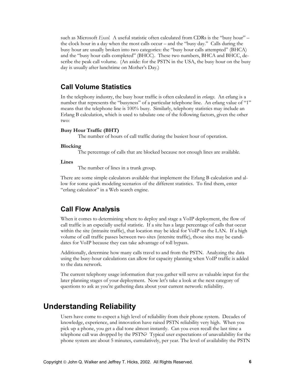<span id="page-6-0"></span>such as Microsoft *Excel*. A useful statistic often calculated from CDRs is the "busy hour" – the clock hour in a day when the most calls occur – and the "busy day." Calls during the busy hour are usually broken into two categories: the "busy hour calls attempted" (BHCA) and the "busy hour calls completed" (BHCC). These two numbers, BHCA and BHCC, describe the peak call volume. (An aside: for the PSTN in the USA, the busy hour on the busy day is usually after lunchtime on Mother's Day.)

#### **Call Volume Statistics**

In the telephony industry, the busy hour traffic is often calculated in *erlangs*. An erlang is a number that represents the "busyness" of a particular telephone line. An erlang value of "1" means that the telephone line is 100% busy. Similarly, telephony statistics may include an Erlang B calculation, which is used to tabulate one of the following factors, given the other two:

#### **Busy Hour Traffic (BHT)**

The number of hours of call traffic during the busiest hour of operation.

#### **Blocking**

The percentage of calls that are blocked because not enough lines are available.

#### **Lines**

The number of lines in a trunk group.

There are some simple calculators available that implement the Erlang B calculation and allow for some quick modeling scenarios of the different statistics. To find them, enter "erlang calculator" in a Web search engine.

### **Call Flow Analysis**

When it comes to determining where to deploy and stage a VoIP deployment, the flow of call traffic is an especially useful statistic. If a site has a large percentage of calls that occur within the site (intrasite traffic), that location may be ideal for VoIP on the LAN. If a high volume of call traffic passes between two sites (intersite traffic), those sites may be candidates for VoIP because they can take advantage of toll bypass.

Additionally, determine how many calls travel to and from the PSTN. Analyzing the data using the busy-hour calculations can allow for capacity planning when VoIP traffic is added to the data network.

The current telephony usage information that you gather will serve as valuable input for the later planning stages of your deployment. Now let's take a look at the next category of questions to ask as you're gathering data about your current network: reliability.

### **Understanding Reliability**

Users have come to expect a high level of reliability from their phone system. Decades of knowledge, experience, and innovation have raised PSTN reliability very high. When you pick up a phone, you get a dial tone almost instantly. Can you even recall the last time a telephone call was dropped by the PSTN? Typical user expectations of unavailability for the phone system are about 5 minutes, cumulatively, per year. The level of availability the PSTN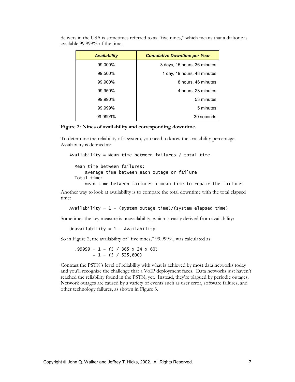| <b>Availability</b> | <b>Cumulative Downtime per Year</b> |
|---------------------|-------------------------------------|
| 99.000%             | 3 days, 15 hours, 36 minutes        |
| 99.500%             | 1 day, 19 hours, 48 minutes         |
| 99.900%             | 8 hours, 46 minutes                 |
| 99.950%             | 4 hours, 23 minutes                 |
| 99.990%             | 53 minutes                          |
| 99.999%             | 5 minutes                           |
| 99.9999%            | 30 seconds                          |

delivers in the USA is sometimes referred to as "five nines," which means that a dialtone is available 99.999% of the time.

**Figure 2: Nines of availability and corresponding downtime.** 

To determine the reliability of a system, you need to know the availability percentage. Availability is defined as:

```
Availability = Mean time between failures / total time
```

```
 Mean time between failures:
```
average time between each outage or failure

```
 Total time:
```
mean time between failures + mean time to repair the failures

Another way to look at availability is to compare the total downtime with the total elapsed time:

Availability =  $1 - (system outcome of time) / (system elapsed time)$ 

Sometimes the key measure is unavailability, which is easily derived from availability:

Unavailability =  $1 -$  Availability

So in Figure 2, the availability of "five nines," 99.999%, was calculated as

 $.99999 = 1 - (5 / 365 \times 24 \times 60)$  $= 1 - (5 / 525,600)$ 

Contrast the PSTN's level of reliability with what is achieved by most data networks today and you'll recognize the challenge that a VoIP deployment faces. Data networks just haven't reached the reliability found in the PSTN, yet. Instead, they're plagued by periodic outages. Network outages are caused by a variety of events such as user error, software failures, and other technology failures, as shown in [Figure 3.](#page-8-0)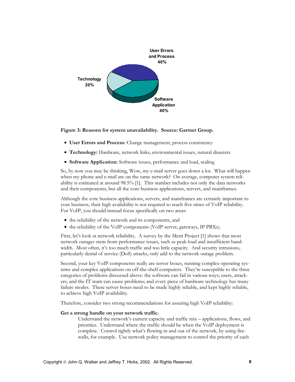<span id="page-8-0"></span>

**Figure 3: Reasons for system unavailability. Source: Gartner Group.** 

- **User Errors and Process:** Change management, process consistency
- **Technology:** Hardware, network links, environmental issues, natural disasters
- **Software Application:** Software issues, performance and load, scaling

So, by now you may be thinking, Wow, my e-mail server goes down a lot. What will happen when my phone and e-mail are on the same network? On average, computer system reliability is estimated at around 98.5% [1]. This number includes not only the data networks and their components, but all the core business applications, servers, and mainframes.

Although the core business applications, servers, and mainframes are certainly important to your business, their high availability is not required to reach five nines of VoIP reliability. For VoIP, you should instead focus specifically on two areas:

- the reliability of the network and its components, and
- the reliability of the VoIP components (VoIP server, gateways, IP PBXs).

First, let's look at network reliability. A survey by the Merit Project [1] shows that most network outages stem from performance issues, such as peak load and insufficient bandwidth. Most often, it's too much traffic and too little capacity. And security intrusions, particularly denial of service (DoS) attacks, only add to the network outage problem.

Second, your key VoIP components really are server boxes, running complex operating systems and complex applications on off-the-shelf computers. They're susceptible to the three categories of problems discussed above: the software can fail in various ways; users, attackers, and the IT team can cause problems; and every piece of hardware technology has many failure modes. These server boxes need to be made highly reliable, and kept highly reliable, to achieve high VoIP availability.

Therefore, consider two strong recommendations for assuring high VoIP reliability:

#### **Get a strong handle on your network traffic.**

Understand the network's current capacity and traffic mix – applications, flows, and priorities. Understand where the traffic should be when the VoIP deployment is complete. Control tightly what's flowing in and out of the network, by using firewalls, for example. Use network policy management to control the priority of each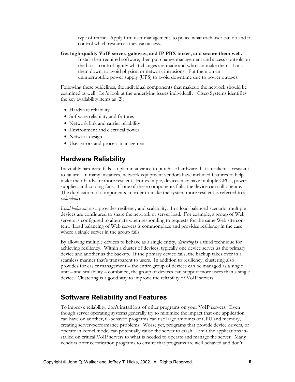type of traffic. Apply firm user management, to police what each user can do and to control which resources they can access.

<span id="page-9-0"></span>**Get high-quality VoIP server, gateway, and IP PBX boxes, and secure them well.**  Install their required software, then put change management and access controls on the box – control tightly what changes are made and who can make them. Lock them down, to avoid physical or network intrusions. Put them on an uninterruptible power supply (UPS) to avoid downtime due to power outages.

Following these guidelines, the individual components that makeup the network should be examined as well. Let's look at the underlying issues individually. Cisco Systems identifies the key availability items as [2]:

- Hardware reliability
- Software reliability and features
- Network link and carrier reliability
- Environment and electrical power
- Network design
- User errors and process management

### **Hardware Reliability**

Inevitably hardware fails, so plan in advance to purchase hardware that's resilient – resistant to failure. In many instances, network equipment vendors have included features to help make their hardware more resilient. For example, devices may have multiple CPUs, powersupplies, and cooling fans. If one of these components fails, the device can still operate. The duplication of components in order to make the system more resilient is referred to as *redundancy*.

*Load balancing* also provides resiliency and scalability. In a load-balanced scenario, multiple devices are configured to share the network or server load. For example, a group of Web servers is configured to alternate when responding to requests for the same Web site content. Load balancing of Web servers is commonplace and provides resiliency in the case where a single server in the group fails.

By allowing multiple devices to behave as a single entity, *clustering* is a third technique for achieving resiliency. Within a cluster of devices, typically one device serves as the primary device and another as the backup. If the primary device fails, the backup takes over in a seamless manner that's transparent to users. In addition to resiliency, clustering also provides for easier management – the entire group of devices can be managed as a single unit – and scalability – combined, the group of devices can support more users than a single device. Clustering is a good way to improve the reliability of VoIP servers.

### **Software Reliability and Features**

To improve reliability, don't install lots of other programs on your VoIP servers. Even though server operating systems generally try to minimize the impact that one application can have on another, ill-behaved programs can use large amounts of CPU and memory, creating server-performance problems. Worse yet, programs that provide device drivers, or operate in kernel mode, can potentially cause the server to crash. Limit the applications installed on critical VoIP servers to what is needed to operate and manage the server. Many vendors offer certification programs to ensure that programs are well behaved and don't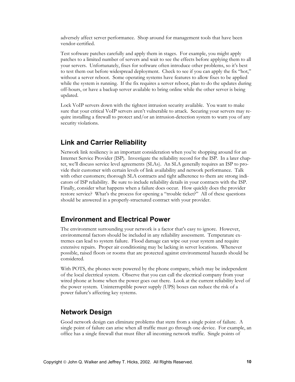<span id="page-10-0"></span>adversely affect server performance. Shop around for management tools that have been vendor-certified.

Test software patches carefully and apply them in stages. For example, you might apply patches to a limited number of servers and wait to see the effects before applying them to all your servers. Unfortunately, fixes for software often introduce other problems, so it's best to test them out before widespread deployment. Check to see if you can apply the fix "hot," without a server reboot. Some operating systems have features to allow fixes to be applied while the system is running. If the fix requires a server reboot, plan to do the updates during off-hours, or have a backup server available to bring online while the other server is being updated.

Lock VoIP servers down with the tightest intrusion security available. You want to make sure that your critical VoIP servers aren't vulnerable to attack. Securing your servers may require installing a firewall to protect and/or an intrusion-detection system to warn you of any security violations.

### **Link and Carrier Reliability**

Network link resiliency is an important consideration when you're shopping around for an Internet Service Provider (ISP). Investigate the reliability record for the ISP. In a later chapter, we'll discuss service level agreements (SLAs). An SLA generally requires an ISP to provide their customer with certain levels of link availability and network performance. Talk with other customers; thorough SLA contracts and tight adherence to them are strong indicators of ISP reliability. Be sure to include reliability details in your contracts with the ISP. Finally, consider what happens when a failure does occur. How quickly does the provider restore service? What's the process for opening a "trouble ticket?" All of these questions should be answered in a properly-structured contract with your provider.

### **Environment and Electrical Power**

The environment surrounding your network is a factor that's easy to ignore. However, environmental factors should be included in any reliability assessment. Temperature extremes can lead to system failure. Flood damage can wipe out your system and require extensive repairs. Proper air conditioning may be lacking in server locations. Whenever possible, raised floors or rooms that are protected against environmental hazards should be considered.

With POTS, the phones were powered by the phone company, which may be independent of the local electrical system. Observe that you can call the electrical company from your wired phone at home when the power goes out there. Look at the current reliability level of the power system. Uninterruptible power supply (UPS) boxes can reduce the risk of a power failure's affecting key systems.

### **Network Design**

Good network design can eliminate problems that stem from a single point of failure. A single point of failure can arise when all traffic must go through one device. For example, an office has a single firewall that must filter all incoming network traffic. Single points of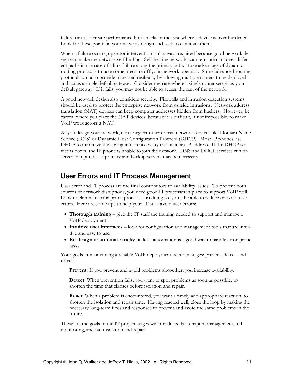<span id="page-11-0"></span>failure can also create performance bottlenecks in the case where a device is over burdened. Look for these points in your network design and seek to eliminate them.

When a failure occurs, operator intervention isn't always required because good network design can make the network self-healing. Self-healing networks can re-route data over different paths in the case of a link failure along the primary path. Take advantage of dynamic routing protocols to take some pressure off your network operator. Some advanced routing protocols can also provide increased resiliency by allowing multiple routers to be deployed and act as a single default gateway. Consider the case where a single router serves as your default gateway. If it fails, you may not be able to access the rest of the network.

A good network design also considers security. Firewalls and intrusion detection systems should be used to protect the enterprise network from outside intrusions. Network address translation (NAT) devices can keep computer addresses hidden from hackers. However, be careful where you place the NAT devices, because it is difficult, if not impossible, to make VoIP work across a NAT.

As you design your network, don't neglect other crucial network services like Domain Name Service (DNS) or Dynamic Host Configuration Protocol (DHCP). Most IP phones use DHCP to minimize the configuration necessary to obtain an IP address. If the DHCP service is down, the IP phone is unable to join the network. DNS and DHCP services run on server computers, so primary and backup servers may be necessary.

### **User Errors and IT Process Management**

User error and IT process are the final contributors to availability issues. To prevent both sources of network disruptions, you need good IT processes in place to support VoIP well. Look to eliminate error-prone processes; in doing so, you'll be able to reduce or avoid user errors. Here are some tips to help your IT staff avoid user errors:

- **Thorough training** give the IT staff the training needed to support and manage a VoIP deployment.
- **Intuitive user interfaces** look for configuration and management tools that are intuitive and easy to use.
- **Re-design or automate tricky tasks**  automation is a good way to handle error-prone tasks.

Your goals in maintaining a reliable VoIP deployment occur in stages: prevent, detect, and react:

Prevent: If you prevent and avoid problems altogether, you increase availability.

**Detect:** When prevention fails, you want to spot problems as soon as possible, to shorten the time that elapses before isolation and repair.

**React:** When a problem is encountered, you want a timely and appropriate reaction, to shorten the isolation and repair time. Having reacted well, close the loop by making the necessary long-term fixes and responses to prevent and avoid the same problems in the future.

These are the goals in the IT project stages we introduced last chapter: management and monitoring, and fault isolation and repair.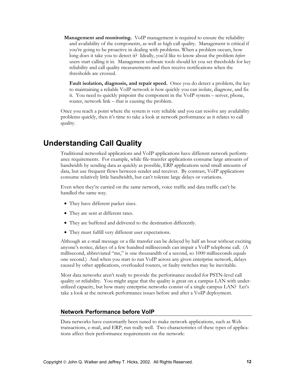<span id="page-12-0"></span>**Management and monitoring.** VoIP management is required to ensure the reliability and availability of the components, as well as high call quality. Management is critical if you're going to be proactive in dealing with problems. When a problem occurs, how long does it take you to detect it? Ideally, you'd like to know about the problem *before* users start calling it in. Management software tools should let you set thresholds for key reliability and call quality measurements and then receive notifications when the thresholds are crossed.

**Fault isolation, diagnosis, and repair speed.** Once you do detect a problem, the key to maintaining a reliable VoIP network is how quickly you can isolate, diagnose, and fix it. You need to quickly pinpoint the component in the VoIP system – server, phone, router, network link – that is causing the problem.

Once you reach a point where the system is very reliable and you can resolve any availability problems quickly, then it's time to take a look at network performance as it relates to call quality.

### **Understanding Call Quality**

Traditional networked applications and VoIP applications have different network performance requirements. For example, while file-transfer applications consume large amounts of bandwidth by sending data as quickly as possible, ERP applications send small amounts of data, but use frequent flows between sender and receiver. By contrast, VoIP applications consume relatively little bandwidth, but can't tolerate large delays or variations.

Even when they're carried on the same network, voice traffic and data traffic can't be handled the same way.

- They have different packet sizes.
- They are sent at different rates.
- They are buffered and delivered to the destination differently.
- They must fulfill very different user expectations.

Although an e-mail message or a file transfer can be delayed by half an hour without exciting anyone's notice, delays of a few hundred milliseconds can impair a VoIP telephone call. (A millisecond, abbreviated "ms," is one thousandth of a second, so 1000 milliseconds equals one second.) And when you start to run VoIP across any given enterprise network, delays caused by other applications, overloaded routers, or faulty switches may be inevitable.

Most data networks aren't ready to provide the performance needed for PSTN-level call quality or reliability. You might argue that the quality is great on a campus LAN with underutilized capacity, but how many enterprise networks consist of a single campus LAN? Let's take a look at the network performance issues before and after a VoIP deployment.

#### **Network Performance before VoIP**

Data networks have customarily been tuned to make network applications, such as Web transactions, e-mail, and ERP, run really well. Two characteristics of these types of applications affect their performance requirements on the network: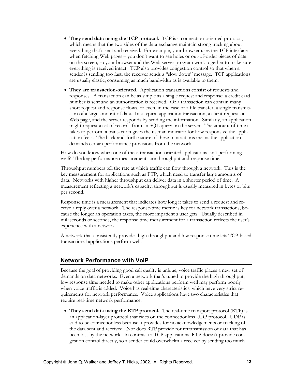- **They send data using the TCP protocol.** TCP is a connection-oriented protocol, which means that the two sides of the data exchange maintain strong tracking about everything that's sent and received. For example, your browser uses the TCP interface when fetching Web pages – you don't want to see holes or out-of-order pieces of data on the screen, so your browser and the Web server program work together to make sure everything is received intact. TCP also provides congestion control so that when a sender is sending too fast, the receiver sends a "slow down" message. TCP applications are usually elastic, consuming as much bandwidth as is available to them.
- **They are transaction-oriented.** Application transactions consist of requests and responses. A transaction can be as simple as a single request and response: a credit card number is sent and an authorization is received. Or a transaction can contain many short request and response flows, or even, in the case of a file transfer, a single transmission of a large amount of data. In a typical application transaction, a client requests a Web page, and the server responds by sending the information. Similarly, an application might request a set of records from an SQL query on the server. The amount of time it takes to perform a transaction gives the user an indicator for how responsive the application feels. The back-and-forth nature of these transactions means the application demands certain performance provisions from the network.

How do you know when one of these transaction-oriented applications isn't performing well? The key performance measurements are throughput and response time.

Throughput numbers tell the rate at which traffic can flow through a network. This is the key measurement for applications such as FTP, which need to transfer large amounts of data. Networks with higher throughput can deliver data in a shorter period of time. A measurement reflecting a network's capacity, throughput is usually measured in bytes or bits per second.

Response time is a measurement that indicates how long it takes to send a request and receive a reply over a network. The response-time metric is key for network transactions, because the longer an operation takes, the more impatient a user gets. Usually described in milliseconds or seconds, the response time measurement for a transaction reflects the user's experience with a network.

A network that consistently provides high throughput and low response time lets TCP-based transactional applications perform well.

#### **Network Performance with VoIP**

Because the goal of providing good call quality is unique, voice traffic places a new set of demands on data networks. Even a network that's tuned to provide the high throughput, low response time needed to make other applications perform well may perform poorly when voice traffic is added. Voice has real-time characteristics, which have very strict requirements for network performance. Voice applications have two characteristics that require real-time network performance:

• **They send data using the RTP protocol.** The real-time transport protocol (RTP) is an application-layer protocol that rides on the connectionless UDP protocol. UDP is said to be connectionless because it provides for no acknowledgements or tracking of the data sent and received. Nor does RTP provide for retransmission of data that has been lost by the network. In contrast to TCP applications, RTP doesn't provide congestion control directly, so a sender could overwhelm a receiver by sending too much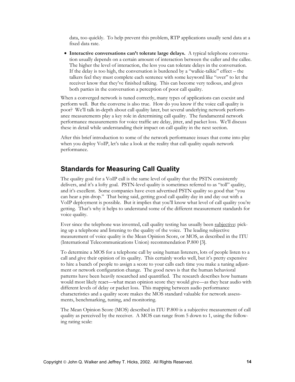<span id="page-14-0"></span>data, too quickly. To help prevent this problem, RTP applications usually send data at a fixed data rate.

• **Interactive conversations can't tolerate large delays.** A typical telephone conversation usually depends on a certain amount of interaction between the caller and the callee. The higher the level of interaction, the less you can tolerate delays in the conversation. If the delay is too high, the conversation is burdened by a "walkie-talkie" effect – the talkers feel they must complete each sentence with some keyword like "over" to let the receiver know that they've finished talking. This can become very tedious, and gives both parties in the conversation a perception of poor call quality.

When a converged network is tuned correctly, many types of applications can coexist and perform well. But the converse is also true. How do you know if the voice call quality is poor? We'll talk in-depth about call quality later, but several underlying network performance measurements play a key role in determining call quality. The fundamental network performance measurements for voice traffic are delay, jitter, and packet loss. We'll discuss these in detail while understanding their impact on call quality in the next section.

After this brief introduction to some of the network performance issues that come into play when you deploy VoIP, let's take a look at the reality that call quality equals network performance.

### **Standards for Measuring Call Quality**

The quality goal for a VoIP call is the same level of quality that the PSTN consistently delivers, and it's a lofty goal. PSTN-level quality is sometimes referred to as "toll" quality, and it's excellent. Some companies have even advertised PSTN quality so good that "you can hear a pin drop." That being said, getting good call quality day in and day out with a VoIP deployment is possible. But it implies that you'll know what level of call quality you're getting. That's why it helps to understand some of the different measurement standards for voice quality.

Ever since the telephone was invented, call quality testing has usually been subjective: picking up a telephone and listening to the quality of the voice. The leading subjective measurement of voice quality is the Mean Opinion Score, or MOS, as described in the ITU (International Telecommunications Union) recommendation P.800 [3].

To determine a MOS for a telephone call by using human listeners, lots of people listen to a call and give their opinion of its quality. This certainly works well, but it's pretty expensive to hire a bunch of people to assign a score to your calls each time you make a tuning adjustment or network configuration change. The good news is that the human behavioral patterns have been heavily researched and quantified. The research describes how humans would most likely react—what mean opinion score they would give—as they hear audio with different levels of delay or packet loss. This mapping between audio performance characteristics and a quality score makes the MOS standard valuable for network assessments, benchmarking, tuning, and monitoring.

The Mean Opinion Score (MOS) described in ITU P.800 is a subjective measurement of call quality as perceived by the receiver. A MOS can range from 5 down to 1, using the following rating scale: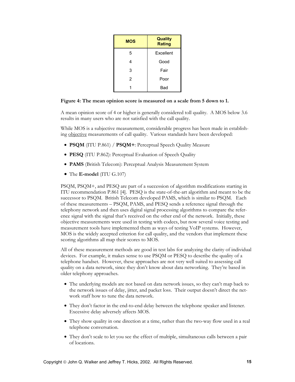| <b>MOS</b> | <b>Quality</b><br><b>Rating</b> |
|------------|---------------------------------|
| 5          | Excellent                       |
| 4          | Good                            |
| 3          | Fair                            |
| 2          | Poor                            |
|            | Bad                             |

#### **Figure 4: The mean opinion score is measured on a scale from 5 down to 1.**

A mean opinion score of 4 or higher is generally considered toll quality. A MOS below 3.6 results in many users who are not satisfied with the call quality.

While MOS is a subjective measurement, considerable progress has been made in establishing objective measurements of call quality. Various standards have been developed:

- **PSQM** (ITU P.861) / **PSQM+**: Perceptual Speech Quality Measure
- **PESQ** (ITU P.862): Perceptual Evaluation of Speech Quality
- **PAMS** (British Telecom): Perceptual Analysis Measurement System
- The **E-model** (ITU G.107)

PSQM, PSQM+, and PESQ are part of a succession of algorithm modifications starting in ITU recommendation P.861 [4]. PESQ is the state-of-the-art algorithm and meant to be the successor to PSQM. British Telecom developed PAMS, which is similar to PSQM. Each of these measurements – PSQM, PAMS, and PESQ sends a reference signal through the telephony network and then uses digital signal processing algorithms to compare the reference signal with the signal that's received on the other end of the network. Initially, these objective measurements were used in testing with codecs, but now several voice testing and measurement tools have implemented them as ways of testing VoIP systems. However, MOS is the widely accepted criterion for call quality, and the vendors that implement these scoring algorithms all map their scores to MOS.

All of these measurement methods are good in test labs for analyzing the clarity of individual devices. For example, it makes sense to use PSQM or PESQ to describe the quality of a telephone handset. However, these approaches are not very well suited to assessing call quality on a data network, since they don't know about data networking. They're based in older telephony approaches.

- The underlying models are not based on data network issues, so they can't map back to the network issues of delay, jitter, and packet loss. Their output doesn't direct the network staff how to tune the data network.
- They don't factor in the end-to-end delay between the telephone speaker and listener. Excessive delay adversely affects MOS.
- They show quality in one direction at a time, rather than the two-way flow used in a real telephone conversation.
- They don't scale to let you see the effect of multiple, simultaneous calls between a pair of locations.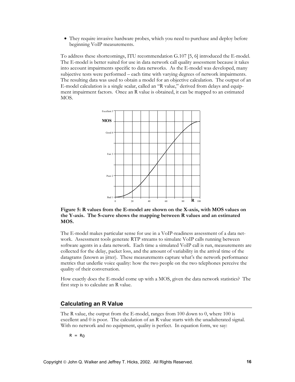• They require invasive hardware probes, which you need to purchase and deploy before beginning VoIP measurements.

To address these shortcomings, ITU recommendation G.107 [5, 6] introduced the E-model. The E-model is better suited for use in data network call quality assessment because it takes into account impairments specific to data networks. As the E-model was developed, many subjective tests were performed – each time with varying degrees of network impairments. The resulting data was used to obtain a model for an objective calculation. The output of an E-model calculation is a single scalar, called an "R value," derived from delays and equipment impairment factors. Once an R value is obtained, it can be mapped to an estimated MOS.



**Figure 5: R values from the E-model are shown on the X-axis, with MOS values on the Y-axis. The S-curve shows the mapping between R values and an estimated MOS.** 

The E-model makes particular sense for use in a VoIP-readiness assessment of a data network. Assessment tools generate RTP streams to simulate VoIP calls running between software agents in a data network. Each time a simulated VoIP call is run, measurements are collected for the delay, packet loss, and the amount of variability in the arrival time of the datagrams (known as jitter). These measurements capture what's the network performance metrics that underlie voice quality: how the two people on the two telephones perceive the quality of their conversation.

How exactly does the E-model come up with a MOS, given the data network statistics? The first step is to calculate an R value.

#### **Calculating an R Value**

The R value, the output from the E-model, ranges from 100 down to 0, where 100 is excellent and 0 is poor. The calculation of an R value starts with the unadulterated signal. With no network and no equipment, quality is perfect. In equation form, we say:

 $R = R_0$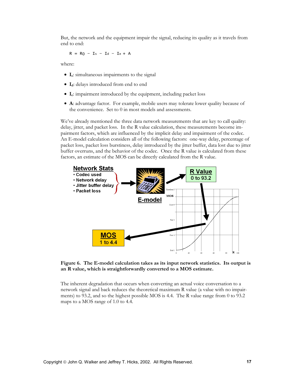But, the network and the equipment impair the signal, reducing its quality as it travels from end to end:

 $R = R_0 - I_s - I_d - I_e + A$ 

where:

- **Is**: simultaneous impairments to the signal
- **Id**: delays introduced from end to end
- **Ie**: impairment introduced by the equipment, including packet loss
- **A**: advantage factor. For example, mobile users may tolerate lower quality because of the convenience. Set to 0 in most models and assessments.

We've already mentioned the three data network measurements that are key to call quality: delay, jitter, and packet loss. In the R value calculation, these measurements become impairment factors, which are influenced by the implicit delay and impairment of the codec. An E-model calculation considers all of the following factors: one-way delay, percentage of packet loss, packet loss burstiness, delay introduced by the jitter buffer, data lost due to jitter buffer overruns, and the behavior of the codec. Once the R value is calculated from these factors, an estimate of the MOS can be directly calculated from the R value.



**Figure 6. The E-model calculation takes as its input network statistics. Its output is an R value, which is straightforwardly converted to a MOS estimate.** 

The inherent degradation that occurs when converting an actual voice conversation to a network signal and back reduces the theoretical maximum R value (a value with no impairments) to 93.2, and so the highest possible MOS is 4.4. The R value range from 0 to 93.2 maps to a MOS range of 1.0 to 4.4.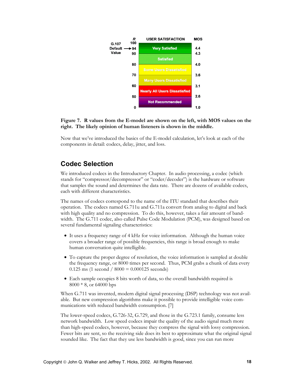<span id="page-18-0"></span>

**Figure 7. R values from the E-model are shown on the left, with MOS values on the right. The likely opinion of human listeners is shown in the middle.** 

Now that we've introduced the basics of the E-model calculation, let's look at each of the components in detail: codecs, delay, jitter, and loss.

### **Codec Selection**

We introduced codecs in the Introductory Chapter. In audio processing, a codec (which stands for "compressor/decompressor" or "coder/decoder") is the hardware or software that samples the sound and determines the data rate. There are dozens of available codecs, each with different characteristics.

The names of codecs correspond to the name of the ITU standard that describes their operation. The codecs named G.711u and G.711a convert from analog to digital and back with high quality and no compression. To do this, however, takes a fair amount of bandwidth. The G.711 codec, also called Pulse Code Modulation (PCM), was designed based on several fundamental signaling characteristics:

- It uses a frequency range of 4 kHz for voice information. Although the human voice covers a broader range of possible frequencies, this range is broad enough to make human conversation quite intelligible.
- To capture the proper degree of resolution, the voice information is sampled at double the frequency range, or 8000 times per second. Thus, PCM grabs a chunk of data every  $0.125$  ms (1 second /  $8000 = 0.000125$  seconds)
- Each sample occupies 8 bits worth of data, so the overall bandwidth required is 8000 \* 8, or 64000 bps

When G.711 was invented, modern digital signal processing (DSP) technology was not available. But new compression algorithms make it possible to provide intelligible voice communications with reduced bandwidth consumption. [7]

The lower-speed codecs, G.726-32, G.729, and those in the G.723.1 family, consume less network bandwidth. Low speed codecs impair the quality of the audio signal much more than high-speed codecs, however, because they compress the signal with lossy compression. Fewer bits are sent, so the receiving side does its best to approximate what the original signal sounded like. The fact that they use less bandwidth is good, since you can run more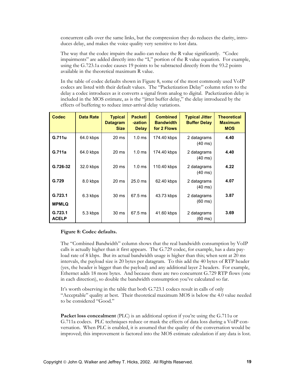concurrent calls over the same links, but the compression they do reduces the clarity, introduces delay, and makes the voice quality very sensitive to lost data.

The way that the codec impairs the audio can reduce the R value significantly. "Codec impairments" are added directly into the "Ie" portion of the R value equation. For example, using the G.723.1a codec causes 19 points to be subtracted directly from the 93.2 points available in the theoretical maximum R value.

In the table of codec defaults shown in Figure 8, some of the most commonly used VoIP codecs are listed with their default values. The "Packetization Delay" column refers to the delay a codec introduces as it converts a signal from analog to digital. Packetization delay is included in the MOS estimate, as is the "jitter buffer delay," the delay introduced by the effects of buffering to reduce inter-arrival delay variations.

| <b>Codec</b>            | <b>Data Rate</b> | <b>Typical</b><br><b>Datagram</b><br><b>Size</b> | <b>Packeti</b><br>-zation<br><b>Delay</b> | <b>Combined</b><br><b>Bandwidth</b><br>for 2 Flows | <b>Typical Jitter</b><br><b>Buffer Delay</b> | <b>Theoretical</b><br><b>Maximum</b><br><b>MOS</b> |
|-------------------------|------------------|--------------------------------------------------|-------------------------------------------|----------------------------------------------------|----------------------------------------------|----------------------------------------------------|
| G.711u                  | 64.0 kbps        | $20 \text{ ms}$                                  | 1.0 <sub>ms</sub>                         | 174.40 kbps                                        | 2 datagrams<br>$(40 \text{ ms})$             | 4.40                                               |
| G.711a                  | 64.0 kbps        | $20 \text{ ms}$                                  | 1.0 <sub>ms</sub>                         | 174.40 kbps                                        | 2 datagrams<br>$(40 \text{ ms})$             | 4.40                                               |
| G.726-32                | 32.0 kbps        | 20 ms                                            | 1.0 <sub>ms</sub>                         | 110.40 kbps                                        | 2 datagrams<br>$(40 \text{ ms})$             | 4.22                                               |
| G.729                   | 8.0 kbps         | 20 ms                                            | $25.0$ ms                                 | 62.40 kbps                                         | 2 datagrams<br>$(40 \text{ ms})$             | 4.07                                               |
| G.723.1<br><b>MPMLQ</b> | 6.3 kbps         | 30 ms                                            | 67.5 ms                                   | 43.73 kbps                                         | 2 datagrams<br>$(60 \text{ ms})$             | 3.87                                               |
| G.723.1<br><b>ACELP</b> | 5.3 kbps         | 30 ms                                            | 67.5 ms                                   | 41.60 kbps                                         | 2 datagrams<br>$(60 \text{ ms})$             | 3.69                                               |

#### **Figure 8: Codec defaults.**

The "Combined Bandwidth" column shows that the real bandwidth consumption by VoIP calls is actually higher than it first appears. The G.729 codec, for example, has a data payload rate of 8 kbps. But its actual bandwidth usage is higher than this; when sent at 20 ms intervals, the payload size is 20 bytes per datagram. To this add the 40 bytes of RTP header (yes, the header is bigger than the payload) and any additional layer 2 headers. For example, Ethernet adds 18 more bytes. And because there are two concurrent G.729 RTP flows (one in each direction), so double the bandwidth consumption you've calculated so far.

It's worth observing in the table that both G.723.1 codecs result in calls of only "Acceptable" quality at best. Their theoretical maximum MOS is below the 4.0 value needed to be considered "Good."

**Packet loss concealment** (PLC) is an additional option if you're using the G.711u or G.711a codecs. PLC techniques reduce or mask the effects of data loss during a VoIP conversation. When PLC is enabled, it is assumed that the quality of the conversation would be improved; this improvement is factored into the MOS estimate calculation if any data is lost.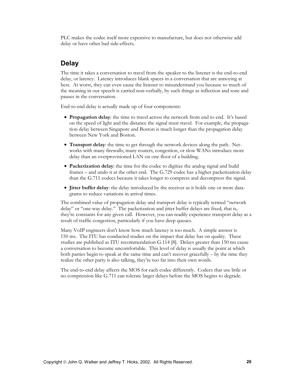<span id="page-20-0"></span>PLC makes the codec itself more expensive to manufacture, but does not otherwise add delay or have other bad side-effects.

#### **Delay**

The time it takes a conversation to travel from the speaker to the listener is the end-to-end delay, or latency. Latency introduces blank spaces in a conversation that are annoying at best. At worst, they can even cause the listener to misunderstand you because so much of the meaning in our speech is carried non-verbally, by such things as inflection and tone and pauses in the conversation.

End-to-end delay is actually made up of four components:

- **Propagation delay**: the time to travel across the network from end to end. It's based on the speed of light and the distance the signal must travel. For example, the propagation delay between Singapore and Boston is much longer than the propagation delay between New York and Boston.
- **Transport delay**: the time to get through the network devices along the path. Networks with many firewalls, many routers, congestion, or slow WANs introduce more delay than an overprovisioned LAN on one floor of a building.
- **Packetization delay**: the time for the codec to digitize the analog signal and build frames – and undo it at the other end. The G.729 codec has a higher packetization delay than the G.711 codecs because it takes longer to compress and decompress the signal.
- **Jitter buffer delay**: the delay introduced by the receiver as it holds one or more datagrams to reduce variations in arrival times.

The combined value of propagation delay and transport delay is typically termed "network delay" or "one-way delay." The packetization and jitter buffer delays are fixed, that is, they're constants for any given call. However, you can readily experience transport delay as a result of traffic congestion, particularly if you have deep queues.

Many VoIP engineers don't know how much latency is too much. A simple answer is 150 ms. The ITU has conducted studies on the impact that delay has on quality. These studies are published as ITU recommendation G.114 [8]. Delays greater than 150 ms cause a conversation to become uncomfortable. This level of delay is usually the point at which both parties begin to speak at the same time and can't recover gracefully – by the time they realize the other party is also talking, they're too far into their own words.

The end-to-end delay affects the MOS for each codec differently. Codecs that use little or no compression like G.711 can tolerate larger delays before the MOS begins to degrade.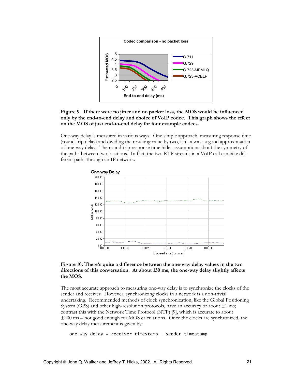

#### **Figure 9. If there were no jitter and no packet loss, the MOS would be influenced only by the end-to-end delay and choice of VoIP codec. This graph shows the effect on the MOS of just end-to-end delay for four example codecs.**

One-way delay is measured in various ways. One simple approach, measuring response time (round-trip delay) and dividing the resulting value by two, isn't always a good approximation of one-way delay. The round-trip response time hides assumptions about the symmetry of the paths between two locations. In fact, the two RTP streams in a VoIP call can take different paths through an IP network.



#### **Figure 10: There's quite a difference between the one-way delay values in the two directions of this conversation. At about 130 ms, the one-way delay slightly affects the MOS.**

The most accurate approach to measuring one-way delay is to synchronize the clocks of the sender and receiver. However, synchronizing clocks in a network is a non-trivial undertaking. Recommended methods of clock synchronization, like the Global Positioning System (GPS) and other high-resolution protocols, have an accuracy of about  $\pm 1$  ms; contrast this with the Network Time Protocol (NTP) [9], which is accurate to about ±200 ms – not good enough for MOS calculations. Once the clocks are synchronized, the one-way delay measurement is given by:

```
one-way delay = receiver timestamp – sender timestamp
```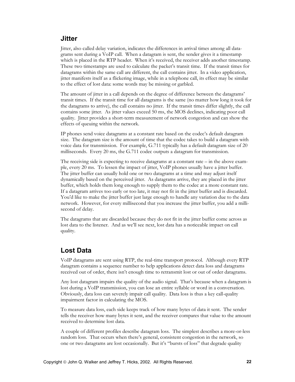### <span id="page-22-0"></span>**Jitter**

Jitter, also called delay variation, indicates the differences in arrival times among all datagrams sent during a VoIP call. When a datagram is sent, the sender gives it a timestamp which is placed in the RTP header. When it's received, the receiver adds another timestamp. These two timestamps are used to calculate the packet's transit time. If the transit times for datagrams within the same call are different, the call contains jitter. In a video application, jitter manifests itself as a flickering image, while in a telephone call, its effect may be similar to the effect of lost data: some words may be missing or garbled.

The amount of jitter in a call depends on the degree of difference between the datagrams' transit times. If the transit time for all datagrams is the same (no matter how long it took for the datagrams to arrive), the call contains no jitter. If the transit times differ slightly, the call contains some jitter. As jitter values exceed 50 ms, the MOS declines, indicating poor call quality. Jitter provides a short-term measurement of network congestion and can show the effects of queuing within the network.

IP phones send voice datagrams at a constant rate based on the codec's default datagram size. The datagram size is the amount of time that the codec takes to build a datagram with voice data for transmission. For example, G.711 typically has a default datagram size of 20 milliseconds. Every 20 ms, the G.711 codec outputs a datagram for transmission.

The receiving side is expecting to receive datagrams at a constant rate – in the above example, every 20 ms. To lessen the impact of jitter, VoIP phones usually have a jitter buffer. The jitter buffer can usually hold one or two datagrams at a time and may adjust itself dynamically based on the perceived jitter. As datagrams arrive, they are placed in the jitter buffer, which holds them long enough to supply them to the codec at a more constant rate. If a datagram arrives too early or too late, it may not fit in the jitter buffer and is discarded. You'd like to make the jitter buffer just large enough to handle any variation due to the data network. However, for every millisecond that you increase the jitter buffer, you add a millisecond of delay.

The datagrams that are discarded because they do not fit in the jitter buffer come across as lost data to the listener. And as we'll see next, lost data has a noticeable impact on call quality.

### **Lost Data**

VoIP datagrams are sent using RTP, the real-time transport protocol. Although every RTP datagram contains a sequence number to help applications detect data loss and datagrams received out of order, there isn't enough time to retransmit lost or out of order datagrams.

Any lost datagram impairs the quality of the audio signal. That's because when a datagram is lost during a VoIP transmission, you can lose an entire syllable or word in a conversation. Obviously, data loss can severely impair call quality. Data loss is thus a key call-quality impairment factor in calculating the MOS.

To measure data loss, each side keeps track of how many bytes of data it sent. The sender tells the receiver how many bytes it sent, and the receiver compares that value to the amount received to determine lost data.

A couple of different profiles describe datagram loss. The simplest describes a more-or-less random loss. That occurs when there's general, consistent congestion in the network, so one or two datagrams are lost occasionally. But it's "bursts of loss" that degrade quality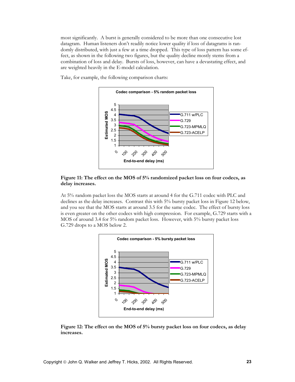most significantly. A burst is generally considered to be more than one consecutive lost datagram. Human listeners don't readily notice lower quality if loss of datagrams is randomly distributed, with just a few at a time dropped. This type of loss pattern has some effect, as shown in the following two figures, but the quality decline mostly stems from a combination of loss and delay. Bursts of loss, however, can have a devastating effect, and are weighted heavily in the E-model calculation.

Take, for example, the following comparison charts:



#### **Figure 11: The effect on the MOS of 5% randomized packet loss on four codecs, as delay increases.**

At 5% random packet loss the MOS starts at around 4 for the G.711 codec with PLC and declines as the delay increases. Contrast this with 5% bursty packet loss in Figure 12 below, and you see that the MOS starts at around 3.5 for the same codec. The effect of bursty loss is even greater on the other codecs with high compression. For example, G.729 starts with a MOS of around 3.4 for 5% random packet loss. However, with 5% bursty packet loss G.729 drops to a MOS below 2.



**Figure 12: The effect on the MOS of 5% bursty packet loss on four codecs, as delay increases.**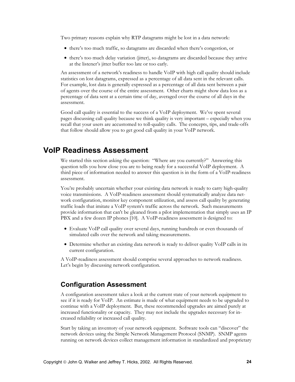<span id="page-24-0"></span>Two primary reasons explain why RTP datagrams might be lost in a data network:

- there's too much traffic, so datagrams are discarded when there's congestion, or
- there's too much delay variation (jitter), so datagrams are discarded because they arrive at the listener's jitter buffer too late or too early.

An assessment of a network's readiness to handle VoIP with high call quality should include statistics on lost datagrams, expressed as a percentage of all data sent in the relevant calls. For example, lost data is generally expressed as a percentage of all data sent between a pair of agents over the course of the entire assessment. Other charts might show data loss as a percentage of data sent at a certain time of day, averaged over the course of all days in the assessment.

Good call quality is essential to the success of a VoIP deployment. We've spent several pages discussing call quality because we think quality is very important – especially when you recall that your users are accustomed to toll-quality calls. The concepts, tips, and trade-offs that follow should allow you to get good call quality in your VoIP network.

### **VoIP Readiness Assessment**

We started this section asking the question: "Where are you currently?" Answering this question tells you how close you are to being ready for a successful VoIP deployment. A third piece of information needed to answer this question is in the form of a VoIP-readiness assessment.

You're probably uncertain whether your existing data network is ready to carry high-quality voice transmissions. A VoIP-readiness assessment should systematically analyze data network configuration, monitor key component utilization, and assess call quality by generating traffic loads that imitate a VoIP system's traffic across the network. Such measurements provide information that can't be gleaned from a pilot implementation that simply uses an IP PBX and a few dozen IP phones [10]. A VoIP-readiness assessment is designed to:

- Evaluate VoIP call quality over several days, running hundreds or even thousands of simulated calls over the network and taking measurements.
- Determine whether an existing data network is ready to deliver quality VoIP calls in its current configuration.

A VoIP-readiness assessment should comprise several approaches to network readiness. Let's begin by discussing network configuration.

### **Configuration Assessment**

A configuration assessment takes a look at the current state of your network equipment to see if it is ready for VoIP. An estimate is made of what equipment needs to be upgraded to continue with a VoIP deployment. But, these recommended upgrades are aimed purely at increased functionality or capacity. They may not include the upgrades necessary for increased reliability or increased call quality.

Start by taking an inventory of your network equipment. Software tools can "discover" the network devices using the Simple Network Management Protocol (SNMP). SNMP agents running on network devices collect management information in standardized and proprietary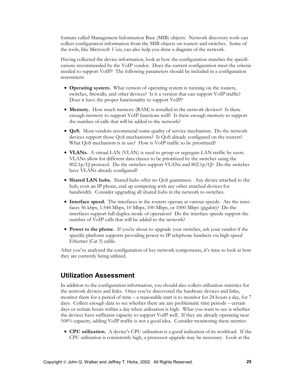<span id="page-25-0"></span>formats called Management Information Base (MIB) objects. Network discovery tools can collect configuration information from the MIB objects on routers and switches. Some of the tools, like Microsoft *Visio*, can also help you draw a diagram of the network.

Having collected the device information, look at how the configuration matches the specifications recommended by the VoIP vendor. Does the current configuration meet the criteria needed to support VoIP? The following parameters should be included in a configuration assessment:

- **Operating system.** What version of operating system is running on the routers, switches, firewalls, and other devices? Is it a version that can support VoIP traffic? Does it have the proper functionality to support VoIP?
- **Memory.** How much memory (RAM) is installed in the network devices? Is there enough memory to support VoIP functions well? Is there enough memory to support the number of calls that will be added to the network?
- **QoS.** Most vendors recommend some quality of service mechanism. Do the network devices support those QoS mechanisms? Is QoS already configured on the routers? What QoS mechanism is in use? How is VoIP traffic to be prioritized?
- **VLANs.** A virtual LAN (VLAN) is used to group or segregate LAN traffic by users. VLANs allow for different data classes to be prioritized by the switches using the 802.1p/Q protocol. Do the switches support VLANs and 802.1p/Q? Do the switches have VLANs already configured?
- **Shared LAN hubs.** Shared hubs offer no QoS guarantees. Any device attached to the hub, even an IP phone, end up competing with any other attached devices for bandwidth. Consider upgrading all shared hubs in the network to switches.
- **Interface speed.** The interfaces in the routers operate at various speeds. Are the interfaces 56 kbps, 1.544 Mbps, 10 Mbps, 100 Mbps, or 1000 Mbps (gigabit)? Do the interfaces support full-duplex mode of operation? Do the interface speeds support the number of VoIP calls that will be added to the network?
- **Power to the phone.** If you're about to upgrade your switches, ask your vendor if the specific platform supports providing power to IP telephone handsets via high-speed Ethernet (Cat 5) cable.

After you've analyzed the configuration of key network components, it's time to look at how they are currently being utilized.

#### **Utilization Assessment**

In addition to the configuration information, you should also collect utilization statistics for the network devices and links. Once you've discovered the hardware devices and links, monitor them for a period of time – a reasonable start is to monitor for 24 hours a day, for 7 days. Collect enough data to see whether there are any problematic time periods – certain days or certain hours within a day when utilization is high. What you want to see is whether the devices have sufficient capacity to support VoIP well. If they are already operating near 100% capacity, adding VoIP traffic is not a good idea. Consider monitoring these metrics:

• **CPU utilization.** A device's CPU utilization is a good indication of its workload. If the CPU utilization is consistently high, a processor upgrade may be necessary. Look at the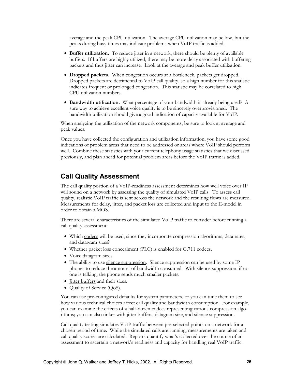<span id="page-26-0"></span>average and the peak CPU utilization. The average CPU utilization may be low, but the peaks during busy times may indicate problems when VoIP traffic is added.

- **Buffer utilization.** To reduce jitter in a network, there should be plenty of available buffers. If buffers are highly utilized, there may be more delay associated with buffering packets and thus jitter can increase. Look at the average and peak buffer utilization.
- **Dropped packets.** When congestion occurs at a bottleneck, packets get dropped. Dropped packets are detrimental to VoIP call quality, so a high number for this statistic indicates frequent or prolonged congestion. This statistic may be correlated to high CPU utilization numbers.
- **Bandwidth utilization.** What percentage of your bandwidth is already being used? A sure way to achieve excellent voice quality is to be sincerely overprovisioned. The bandwidth utilization should give a good indication of capacity available for VoIP.

When analyzing the utilization of the network components, be sure to look at average and peak values.

Once you have collected the configuration and utilization information, you have some good indications of problem areas that need to be addressed or areas where VoIP should perform well. Combine these statistics with your current telephony usage statistics that we discussed previously, and plan ahead for potential problem areas before the VoIP traffic is added.

#### **Call Quality Assessment**

The call quality portion of a VoIP-readiness assessment determines how well voice over IP will sound on a network by assessing the quality of simulated VoIP calls. To assess call quality, realistic VoIP traffic is sent across the network and the resulting flows are measured. Measurements for delay, jitter, and packet loss are collected and input to the E-model in order to obtain a MOS.

There are several characteristics of the simulated VoIP traffic to consider before running a call quality assessment:

- Which codecs will be used, since they incorporate compression algorithms, data rates, and datagram sizes?
- Whether packet loss concealment (PLC) is enabled for G.711 codecs.
- Voice datagram sizes.
- The ability to use silence suppression. Silence suppression can be used by some IP phones to reduce the amount of bandwidth consumed. With silence suppression, if no one is talking, the phone sends much smaller packets.
- Jitter buffers and their sizes.
- Quality of Service (QoS).

You can use pre-configured defaults for system parameters, or you can tune them to see how various technical choices affect call quality and bandwidth consumption. For example, you can examine the effects of a half-dozen codecs representing various compression algorithms; you can also tinker with jitter buffers, datagram size, and silence suppression.

Call quality testing simulates VoIP traffic between pre-selected points on a network for a chosen period of time. While the simulated calls are running, measurements are taken and call quality scores are calculated. Reports quantify what's collected over the course of an assessment to ascertain a network's readiness and capacity for handling real VoIP traffic.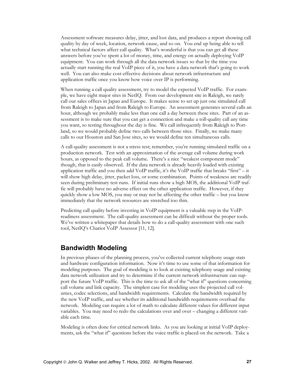<span id="page-27-0"></span>Assessment software measures delay, jitter, and lost data, and produces a report showing call quality by day of week, location, network cause, and so on. You end up being able to tell what technical factors affect call quality. What's wonderful is that you can get all these answers before you've spent a lot of money, time, and energy on actually deploying VoIP equipment. You can work through all the data network issues so that by the time you actually start running the real VoIP piece of it, you have a data network that's going to work well. You can also make cost-effective decisions about network infrastructure and application traffic once you know how voice over IP is performing.

When running a call quality assessment, try to model the expected VoIP traffic. For example, we have eight major sites in NetIQ. From our development site in Raleigh, we rarely call our sales offices in Japan and Europe. It makes sense to set up just one simulated call from Raleigh to Japan and from Raleigh to Europe. An assessment generates several calls an hour, although we probably make less than one call a day between these sites. Part of an assessment is to make sure that you can get a connection and make a toll-quality call any time you want, so testing throughout the day is fine. We call infrequently from Raleigh to Portland, so we would probably define two calls between those sites. Finally, we make many calls to our Houston and San Jose sites, so we would define ten simultaneous calls.

A call-quality assessment is not a stress test; remember, you're running simulated traffic on a production network. Test with an approximation of the average call volume during work hours, as opposed to the peak call volume. There's a nice "weakest component mode" though, that is easily observed. If the data network is already heavily loaded with existing application traffic and you then add VoIP traffic, it's the VoIP traffic that breaks "first" – it will show high delay, jitter, packet loss, or some combination. Points of weakness are readily seen during preliminary test runs. If initial runs show a high MOS, the additional VoIP traffic will probably have no adverse effect on the other application traffic. However, if they quickly show a low MOS, you may or may not be affecting the other traffic – but you know immediately that the network resources are stretched too thin.

Predicting call quality before investing in VoIP equipment is a valuable step in the VoIPreadiness assessment. The call-quality assessment can be difficult without the proper tools. We've written a whitepaper that details how to do a call-quality assessment with one such tool, NetIQ's Chariot VoIP Assessor [11, 12].

#### **Bandwidth Modeling**

In previous phases of the planning process, you've collected current telephony usage stats and hardware configuration information. Now it's time to use some of that information for modeling purposes. The goal of modeling is to look at existing telephony usage and existing data network utilization and try to determine if the current network infrastructure can support the future VoIP traffic. This is the time to ask all of the "what if" questions concerning call volume and link capacity. The simplest case for modeling uses the projected call volumes, codec selections, and bandwidth requirements. Calculate the bandwidth required by the new VoIP traffic, and see whether its additional bandwidth requirements overload the network. Modeling can require a lot of math to calculate different values for different input variables. You may need to redo the calculations over and over – changing a different variable each time.

Modeling is often done for critical network links. As you are looking at initial VoIP deployments, ask the "what if" questions before the voice traffic is placed on the network. Take a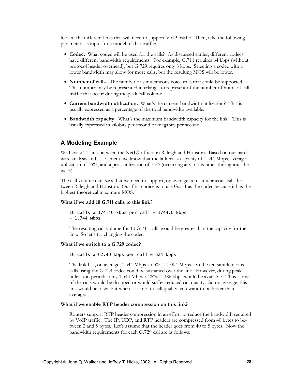look at the different links that will need to support VoIP traffic. Then, take the following parameters as input for a model of that traffic:

- **Codec.** What codec will be used for the calls? As discussed earlier, different codecs have different bandwidth requirements. For example, G.711 requires 64 kbps (without protocol header overhead), but G.729 requires only 8 kbps. Selecting a codec with a lower bandwidth may allow for more calls, but the resulting MOS will be lower.
- **Number of calls.** The number of simultaneous voice calls that could be supported. This number may be represented in erlangs, to represent of the number of hours of call traffic that occur during the peak call volume.
- **Current bandwidth utilization.** What's the current bandwidth utilization? This is usually expressed as a percentage of the total bandwidth available.
- **Bandwidth capacity.** What's the maximum bandwidth capacity for the link? This is usually expressed in kilobits per second or megabits per second.

#### **A Modeling Example**

We have a T1 link between the NetIQ offices in Raleigh and Houston. Based on our hardware analysis and assessment, we know that the link has a capacity of 1.544 Mbps, average utilization of 35%, and a peak utilization of 75% (occurring at various times throughout the week).

The call volume data says that we need to support, on average, ten simultaneous calls between Raleigh and Houston. Our first choice is to use G.711 as the codec because it has the highest theoretical maximum MOS.

#### **What if we add 10 G.711 calls to this link?**

10 calls x 174.40 kbps per call =  $1744.0$  kbps  $= 1.744$  Mbps

The resulting call volume for 10 G.711 calls would be greater than the capacity for the link. So let's try changing the codec.

#### **What if we switch to a G.729 codec?**

#### 10 calls  $x$  62.40 kbps per call = 624 kbps

The link has, on average, 1.544 Mbps x  $65\% = 1.004$  Mbps. So the ten simultaneous calls using the G.729 codec could be sustained over the link. However, during peak utilization periods, only 1.544 Mbps  $x 25\% = 386$  kbps would be available. Thus, some of the calls would be dropped or would suffer reduced call quality. So on average, this link would be okay, but when it comes to call quality, you want to be better than average.

#### **What if we enable RTP header compression on this link?**

Routers support RTP header compression in an effort to reduce the bandwidth required by VoIP traffic. The IP, UDP, and RTP headers are compressed from 40 bytes to between 2 and 5 bytes. Let's assume that the header goes from 40 to 5 bytes. Now the bandwidth requirements for each G.729 call are as follows: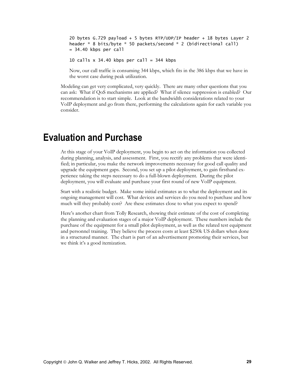<span id="page-29-0"></span>20 bytes G.729 payload + 5 bytes RTP/UDP/IP header + 18 bytes Layer 2 header \* 8 bits/byte \* 50 packets/second \* 2 (bidirectional call)  $= 34.40$  kbps per call

10 calls  $x$  34.40 kbps per call = 344 kbps

Now, our call traffic is consuming 344 kbps, which fits in the 386 kbps that we have in the worst case during peak utilization.

Modeling can get very complicated, very quickly. There are many other questions that you can ask: What if QoS mechanisms are applied? What if silence suppression is enabled? Our recommendation is to start simple. Look at the bandwidth considerations related to your VoIP deployment and go from there, performing the calculations again for each variable you consider.

# **Evaluation and Purchase**

At this stage of your VoIP deployment, you begin to act on the information you collected during planning, analysis, and assessment. First, you rectify any problems that were identified; in particular, you make the network improvements necessary for good call quality and upgrade the equipment gaps. Second, you set up a pilot deployment, to gain firsthand experience taking the steps necessary to do a full-blown deployment. During the pilot deployment, you will evaluate and purchase your first round of new VoIP equipment.

Start with a realistic budget. Make some initial estimates as to what the deployment and its ongoing management will cost. What devices and services do you need to purchase and how much will they probably cost? Are these estimates close to what you expect to spend?

Here's another chart from Tolly Research, showing their estimate of the cost of completing the planning and evaluation stages of a major VoIP deployment. These numbers include the purchase of the equipment for a small pilot deployment, as well as the related test equipment and personnel training. They believe the process costs at least \$250k US dollars when done in a structured manner. The chart is part of an advertisement promoting their services, but we think it's a good itemization.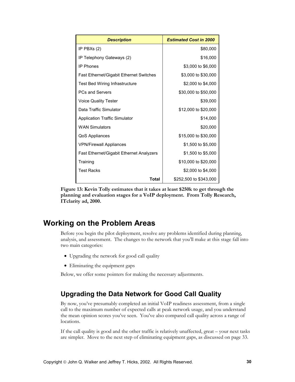<span id="page-30-0"></span>

| <b>Description</b>                              | <b>Estimated Cost in 2000</b> |
|-------------------------------------------------|-------------------------------|
| IP PBXs (2)                                     | \$80,000                      |
| IP Telephony Gateways (2)                       | \$16,000                      |
| <b>IP Phones</b>                                | \$3,000 to \$6,000            |
| <b>Fast Ethernet/Gigabit Ethernet Switches</b>  | \$3,000 to \$30,000           |
| <b>Test Bed Wiring Infrastructure</b>           | \$2,000 to \$4,000            |
| <b>PCs and Servers</b>                          | \$30,000 to \$50,000          |
| <b>Voice Quality Tester</b>                     | \$39,000                      |
| Data Traffic Simulator                          | \$12,000 to \$20,000          |
| <b>Application Traffic Simulator</b>            | \$14,000                      |
| <b>WAN Simulators</b>                           | \$20,000                      |
| QoS Appliances                                  | \$15,000 to \$30,000          |
| <b>VPN/Firewall Appliances</b>                  | \$1,500 to \$5,000            |
| <b>Fast Ethernet/Gigabit Ethernet Analyzers</b> | \$1,500 to \$5,000            |
| Training                                        | \$10,000 to \$20,000          |
| <b>Test Racks</b>                               | \$2,000 to \$4,000            |
| Total                                           | \$252,500 to \$343,000        |

**Figure 13: Kevin Tolly estimates that it takes at least \$250k to get through the planning and evaluation stages for a VoIP deployment. From Tolly Research, ITclarity ad, 2000.** 

### **Working on the Problem Areas**

Before you begin the pilot deployment, resolve any problems identified during planning, analysis, and assessment. The changes to the network that you'll make at this stage fall into two main categories:

- Upgrading the network for good call quality
- Eliminating the equipment gaps

Below, we offer some pointers for making the necessary adjustments.

### **Upgrading the Data Network for Good Call Quality**

By now, you've presumably completed an initial VoIP readiness assessment, from a single call to the maximum number of expected calls at peak network usage, and you understand the mean opinion scores you've seen. You've also compared call quality across a range of locations.

If the call quality is good and the other traffic is relatively unaffected, great – your next tasks are simpler. Move to the next step of eliminating equipment gaps, as discussed on page [33](#page-33-0).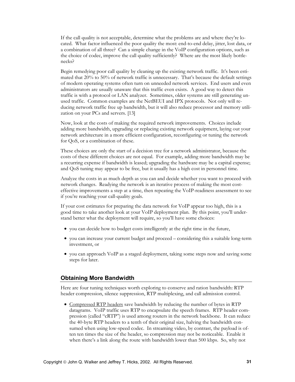If the call quality is not acceptable, determine what the problems are and where they're located. What factor influenced the poor quality the most: end-to-end delay, jitter, lost data, or a combination of all three? Can a simple change in the VoIP configuration options, such as the choice of codec, improve the call quality sufficiently? Where are the most likely bottlenecks?

Begin remedying poor call quality by cleaning up the existing network traffic. It's been estimated that 20% to 50% of network traffic is unnecessary. That's because the default settings of modern operating systems often turn on unneeded network services. End users and even administrators are usually unaware that this traffic even exists. A good way to detect this traffic is with a protocol or LAN analyzer. Sometimes, older systems are still generating unused traffic. Common examples are the NetBEUI and IPX protocols. Not only will reducing network traffic free up bandwidth, but it will also reduce processor and memory utilization on your PCs and servers. [13]

Now, look at the costs of making the required network improvements. Choices include adding more bandwidth, upgrading or replacing existing network equipment, laying out your network architecture in a more efficient configuration, reconfiguring or tuning the network for QoS, or a combination of these.

These choices are only the start of a decision tree for a network administrator, because the costs of these different choices are not equal. For example, adding more bandwidth may be a recurring expense if bandwidth is leased; upgrading the hardware may be a capital expense; and QoS tuning may appear to be free, but it usually has a high cost in personnel time.

Analyze the costs in as much depth as you can and decide whether you want to proceed with network changes. Readying the network is an iterative process of making the most costeffective improvements a step at a time, then repeating the VoIP-readiness assessment to see if you're reaching your call-quality goals.

If your cost estimates for preparing the data network for VoIP appear too high, this is a good time to take another look at your VoIP deployment plan. By this point, you'll understand better what the deployment will require, so you'll have some choices:

- you can decide how to budget costs intelligently at the right time in the future,
- you can increase your current budget and proceed considering this a suitable long-term investment, or
- you can approach VoIP as a staged deployment, taking some steps now and saving some steps for later.

#### **Obtaining More Bandwidth**

Here are four tuning techniques worth exploring to conserve and ration bandwidth: RTP header compression, silence suppression, RTP multiplexing, and call admission control.

• Compressed RTP headers save bandwidth by reducing the number of bytes in RTP datagrams. VoIP traffic uses RTP to encapsulate the speech frames. RTP header compression (called "cRTP") is used among routers in the network backbone. It can reduce the 40-byte RTP headers to a tenth of their original size, halving the bandwidth consumed when using low-speed codec. In streaming video, by contrast, the payload is often ten times the size of the header, so compression may not be noticeable. Enable it when there's a link along the route with bandwidth lower than 500 kbps. So, why not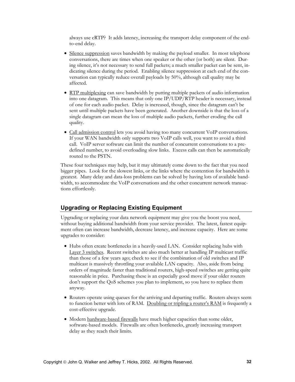always use cRTP? It adds latency, increasing the transport delay component of the endto-end delay.

- Silence suppression saves bandwidth by making the payload smaller. In most telephone conversations, there are times when one speaker or the other (or both) are silent. During silence, it's not necessary to send full packets; a much smaller packet can be sent, indicating silence during the period. Enabling silence suppression at each end of the conversation can typically reduce overall payloads by 50%, although call quality may be affected.
- RTP multiplexing can save bandwidth by putting multiple packets of audio information into one datagram. This means that only one IP/UDP/RTP header is necessary, instead of one for each audio packet. Delay is increased, though, since the datagram can't be sent until multiple packets have been generated. Another downside is that the loss of a single datagram can mean the loss of multiple audio packets, further eroding the call quality.
- Call admission control lets you avoid having too many concurrent VoIP conversations. If your WAN bandwidth only supports two VoIP calls well, you want to avoid a third call. VoIP server software can limit the number of concurrent conversations to a predefined number, to avoid overloading slow links. Excess calls can then be automatically routed to the PSTN.

These four techniques may help, but it may ultimately come down to the fact that you need bigger pipes. Look for the slowest links, or the links where the contention for bandwidth is greatest. Many delay and data-loss problems can be solved by having lots of available bandwidth, to accommodate the VoIP conversations and the other concurrent network transactions effortlessly.

#### **Upgrading or Replacing Existing Equipment**

Upgrading or replacing your data network equipment may give you the boost you need, without buying additional bandwidth from your service provider. The latest, fastest equipment often can increase bandwidth, decrease latency, and increase capacity. Here are some upgrades to consider:

- Hubs often create bottlenecks in a heavily-used LAN. Consider replacing hubs with Layer 3 switches. Recent switches are also much better at handling IP multicast traffic than those of a few years ago; check to see if the combination of old switches and IP multicast is massively throttling your available LAN capacity. Also, aside from being orders of magnitude faster than traditional routers, high-speed switches are getting quite reasonable in price. Purchasing these is an especially good move if your older routers don't support the QoS schemes you plan to implement, so you have to replace them anyway.
- Routers operate using queues for the arriving and departing traffic. Routers always seem to function better with lots of RAM. Doubling or tripling a router's RAM is frequently a cost-effective upgrade.
- Modern hardware-based firewalls have much higher capacities than some older, software-based models. Firewalls are often bottlenecks, greatly increasing transport delay as they reach their limits.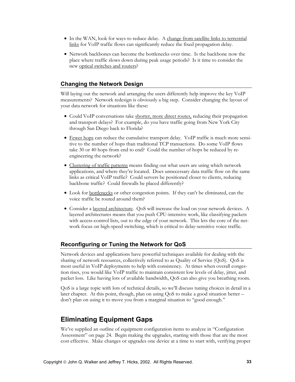- <span id="page-33-0"></span>• In the WAN, look for ways to reduce delay. A change from satellite links to terrestrial links for VoIP traffic flows can significantly reduce the fixed propagation delay.
- Network backbones can become the bottlenecks over time. Is the backbone now the place where traffic slows down during peak usage periods? Is it time to consider the new optical switches and routers?

#### **Changing the Network Design**

Will laying out the network and arranging the users differently help improve the key VoIP measurements? Network redesign is obviously a big step. Consider changing the layout of your data network for situations like these:

- Could VoIP conversations take shorter, more direct routes, reducing their propagation and transport delays? For example, do you have traffic going from New York City through San Diego back to Florida?
- Fewer hops can reduce the cumulative transport delay. VoIP traffic is much more sensitive to the number of hops than traditional TCP transactions. Do some VoIP flows take 30 or 40 hops from end to end? Could the number of hops be reduced by reengineering the network?
- Clustering of traffic patterns means finding out what users are using which network applications, and where they're located. Does unnecessary data traffic flow on the same links as critical VoIP traffic? Could servers be positioned closer to clients, reducing backbone traffic? Could firewalls be placed differently?
- Look for bottlenecks or other congestion points. If they can't be eliminated, can the voice traffic be routed around them?
- Consider a layered architecture. QoS will increase the load on your network devices. A layered architectures means that you push CPU-intensive work, like classifying packets with access-control lists, out to the edge of your network. This lets the core of the network focus on high-speed switching, which is critical to delay-sensitive voice traffic.

#### **Reconfiguring or Tuning the Network for QoS**

Network devices and applications have powerful techniques available for dealing with the sharing of network resources, collectively referred to as Quality of Service (QoS). QoS is most useful in VoIP deployments to help with consistency. At times when overall congestion rises, you would like VoIP traffic to maintain consistent low levels of delay, jitter, and packet loss. Like having lots of available bandwidth, QoS can also give you breathing room.

QoS is a large topic with lots of technical details, so we'll discuss tuning choices in detail in a later chapter. At this point, though, plan on using QoS to make a good situation better – don't plan on using it to move you from a marginal situation to "good enough."

### **Eliminating Equipment Gaps**

We've supplied an outline of equipment configuration items to analyze in ["Configuration](#page-24-0)  [Assessment" on page 24.](#page-24-0) Begin making the upgrades, starting with those that are the most cost effective. Make changes or upgrades one device at a time to start with, verifying proper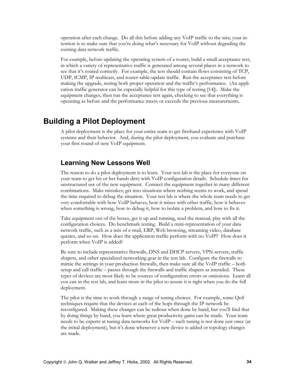<span id="page-34-0"></span>operation after each change. Do all this before adding any VoIP traffic to the mix; your intention is to make sure that you're doing what's necessary for VoIP without degrading the existing data network traffic.

For example, before updating the operating system of a router, build a small acceptance test, in which a variety of representative traffic is generated among several places in a network to see that it's routed correctly. For example, the test should contain flows consisting of TCP, UDP, ICMP, IP multicast, and router-table-update traffic. Run the acceptance test before making the upgrade, noting both proper operation and the traffic's performance. (An application traffic generator can be especially helpful for this type of testing [14]). Make the equipment changes, then run the acceptance test again, checking to see that everything is operating as before and the performance meets or exceeds the previous measurements.

### **Building a Pilot Deployment**

A pilot deployment is the place for your entire team to get firsthand experience with VoIP systems and their behavior. And, during the pilot deployment, you evaluate and purchase your first round of new VoIP equipment.

### **Learning New Lessons Well**

The reason to do a pilot deployment is to learn. Your test lab is the place for everyone on your team to get his or her hands dirty with VoIP configuration details. Schedule times for unstructured use of the new equipment. Connect the equipment together in many different combinations. Make mistakes; get into situations where nothing seems to work, and spend the time required to debug the situation. Your test lab is where the whole team needs to get very comfortable with how VoIP behaves, how it mixes with other traffic, how it behaves when something is wrong, how to debug it, how to isolate a problem, and how to fix it.

Take equipment out of the boxes, get it up and running, read the manual, play with all the configuration choices. Do benchmark testing. Build a mini-representation of your data network traffic, such as a mix of e-mail, ERP, Web browsing, streaming video, database queries, and so on. How does the application traffic perform with no VoIP? How does it perform when VoIP is added?

Be sure to include representative firewalls, DNS and DHCP servers, VPN servers, traffic shapers, and other specialized networking gear in the test lab. Configure the firewalls to mimic the settings in your production firewalls, then make sure all the VoIP traffic – both setup and call traffic – passes through the firewalls and traffic shapers as intended. These types of devices are most likely to be sources of configuration errors or omissions. Learn all you can in the test lab, and learn more in the pilot to assure it is right when you do the full deployment.

The pilot is the time to work through a range of tuning choices. For example, some QoS techniques require that the devices at each of the hops through the IP network be reconfigured. Making these changes can be tedious when done by hand, but you'll find that by doing things by hand, you learn where great productivity gains can be made. Your team needs to be experts at tuning data networks for VoIP – such tuning is not done just once (at the initial deployment), but it's done whenever a new device is added or topology changes are made.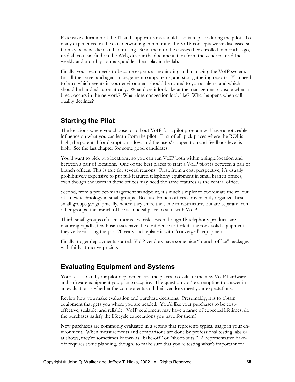<span id="page-35-0"></span>Extensive education of the IT and support teams should also take place during the pilot. To many experienced in the data networking community, the VoIP concepts we've discussed so far may be new, alien, and confusing. Send them to the classes they enrolled in months ago, read all you can find on the Web, devour the documentation from the vendors, read the weekly and monthly journals, and let them play in the lab.

Finally, your team needs to become experts at monitoring and managing the VoIP system. Install the server and agent management components, and start gathering reports. You need to learn which events in your environment should be routed to you as alerts, and which should be handled automatically. What does it look like at the management console when a break occurs in the network? What does congestion look like? What happens when call quality declines?

### **Starting the Pilot**

The locations where you choose to roll out VoIP for a pilot program will have a noticeable influence on what you can learn from the pilot. First of all, pick places where the ROI is high, the potential for disruption is low, and the users' cooperation and feedback level is high. See the last chapter for some good candidates.

You'll want to pick two locations, so you can run VoIP both within a single location and between a pair of locations. One of the best places to start a VoIP pilot is between a pair of branch offices. This is true for several reasons. First, from a cost perspective, it's usually prohibitively expensive to put full-featured telephony equipment in small branch offices, even though the users in these offices may need the same features as the central office.

Second, from a project-management standpoint, it's much simpler to coordinate the rollout of a new technology in small groups. Because branch offices conveniently organize these small groups geographically, where they share the same infrastructure, but are separate from other groups, the branch office is an ideal place to start with VoIP.

Third, small groups of users means less risk. Even though IP telephony products are maturing rapidly, few businesses have the confidence to forklift the rock-solid equipment they've been using the past 20 years and replace it with "converged" equipment.

Finally, to get deployments started, VoIP vendors have some nice "branch office" packages with fairly attractive pricing.

### **Evaluating Equipment and Systems**

Your test lab and your pilot deployment are the places to evaluate the new VoIP hardware and software equipment you plan to acquire. The question you're attempting to answer in an evaluation is whether the components and their vendors meet your expectations.

Review how you make evaluation and purchase decisions. Presumably, it is to obtain equipment that gets you where you are headed. You'd like your purchases to be costeffective, scalable, and reliable. VoIP equipment may have a range of expected lifetimes; do the purchases satisfy the lifecycle expectations you have for them?

New purchases are commonly evaluated in a setting that represents typical usage in your environment. When measurements and comparisons are done by professional testing labs or at shows, they're sometimes known as "bake-off" or "shoot-outs." A representative bakeoff requires some planning, though, to make sure that you're testing what's important for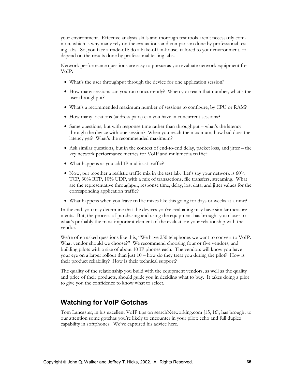<span id="page-36-0"></span>your environment. Effective analysis skills and thorough test tools aren't necessarily common, which is why many rely on the evaluations and comparison done by professional testing labs. So, you face a trade-off: do a bake-off in-house, tailored to your environment, or depend on the results done by professional testing labs.

Network performance questions are easy to pursue as you evaluate network equipment for VoIP:

- What's the user throughput through the device for one application session?
- How many sessions can you run concurrently? When you reach that number, what's the user throughput?
- What's a recommended maximum number of sessions to configure, by CPU or RAM?
- How many locations (address pairs) can you have in concurrent sessions?
- Same questions, but with response time rather than throughput what's the latency through the device with one session? When you reach the maximum, how bad does the latency get? What's the recommended maximum?
- Ask similar questions, but in the context of end-to-end delay, packet loss, and jitter the key network performance metrics for VoIP and multimedia traffic?
- What happens as you add IP multicast traffic?
- Now, put together a realistic traffic mix in the test lab. Let's say your network is  $60\%$ TCP, 30% RTP, 10% UDP, with a mix of transactions, file transfers, streaming. What are the representative throughput, response time, delay, lost data, and jitter values for the corresponding application traffic?
- What happens when you leave traffic mixes like this going for days or weeks at a time?

In the end, you may determine that the devices you're evaluating may have similar measurements. But, the process of purchasing and using the equipment has brought you closer to what's probably the most important element of the evaluation: your relationship with the vendor.

We're often asked questions like this, "We have 250 telephones we want to convert to VoIP. What vendor should we choose?" We recommend choosing four or five vendors, and building pilots with a size of about 10 IP phones each. The vendors will know you have your eye on a larger rollout than just 10 – how do they treat you during the pilot? How is their product reliability? How is their technical support?

The quality of the relationship you build with the equipment vendors, as well as the quality and price of their products, should guide you in deciding what to buy. It takes doing a pilot to give you the confidence to know what to select.

### **Watching for VoIP Gotchas**

Tom Lancaster, in his excellent VoIP tips on searchNetworking.com [15, 16], has brought to our attention some gotchas you're likely to encounter in your pilot: echo and full duplex capability in softphones. We've captured his advice here.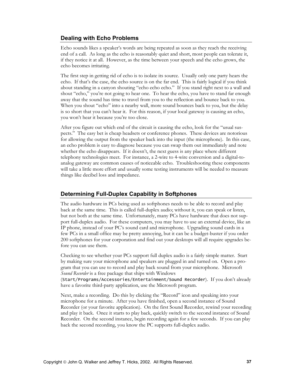#### **Dealing with Echo Problems**

Echo sounds likes a speaker's words are being repeated as soon as they reach the receiving end of a call. As long as the echo is reasonably quiet and short, most people can tolerate it, if they notice it at all. However, as the time between your speech and the echo grows, the echo becomes irritating.

The first step in getting rid of echo is to isolate its source. Usually only one party hears the echo. If that's the case, the echo source is on the far end. This is fairly logical if you think about standing in a canyon shouting "echo echo echo." If you stand right next to a wall and shout "echo," you're not going to hear one. To hear the echo, you have to stand far enough away that the sound has time to travel from you to the reflection and bounce back to you. When you shout "echo" into a nearby wall, more sound bounces back to you, but the delay is so short that you can't hear it. For this reason, if your local gateway is causing an echo, you won't hear it because you're too close.

After you figure out which end of the circuit is causing the echo, look for the "usual suspects." The easy bet is cheap headsets or conference phones. These devices are notorious for allowing the output from the speaker back into the input (the microphone). In this case, an echo problem is easy to diagnose because you can swap them out immediately and note whether the echo disappears. If it doesn't, the next guess is any place where different telephony technologies meet. For instance, a 2-wire to 4-wire conversion and a digital-toanalog gateway are common causes of noticeable echo. Troubleshooting these components will take a little more effort and usually some testing instruments will be needed to measure things like decibel loss and impedance.

#### **Determining Full-Duplex Capability in Softphones**

The audio hardware in PCs being used as softphones needs to be able to record and play back at the same time. This is called full-duplex audio; without it, you can speak or listen, but not both at the same time. Unfortunately, many PCs have hardware that does not support full-duplex audio. For these computers, you may have to use an external device, like an IP phone, instead of your PC's sound card and microphone. Upgrading sound cards in a few PCs in a small office may be pretty annoying, but it can be a budget-buster if you order 200 softphones for your corporation and find out your desktops will all require upgrades before you can use them.

Checking to see whether your PCs support full duplex audio is a fairly simple matter. Start by making sure your microphone and speakers are plugged in and turned on. Open a program that you can use to record and play back sound from your microphone. Microsoft *Sound Recorder* is a free package that ships with Windows

(Start/Programs/Accessories/Entertainment/Sound Recorder). If you don't already have a favorite third-party application, use the Microsoft program.

Next, make a recording. Do this by clicking the "Record" icon and speaking into your microphone for a minute. After you have finished, open a second instance of Sound Recorder (or your favorite application). On the first Sound Recorder, rewind your recording and play it back. Once it starts to play back, quickly switch to the second instance of Sound Recorder. On the second instance, begin recording again for a few seconds. If you can play back the second recording, you know the PC supports full-duplex audio.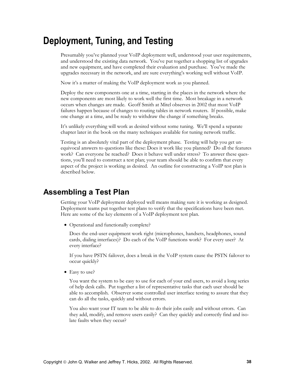# <span id="page-38-0"></span>**Deployment, Tuning, and Testing**

Presumably you've planned your VoIP deployment well, understood your user requirements, and understood the existing data network. You've put together a shopping list of upgrades and new equipment, and have completed their evaluation and purchase. You've made the upgrades necessary in the network, and are sure everything's working well without VoIP.

Now it's a matter of making the VoIP deployment work as you planned.

Deploy the new components one at a time, starting in the places in the network where the new components are most likely to work well the first time. Most breakage in a network occurs when changes are made. Geoff Smith at Mitel observes in 2002 that most VoIP failures happen because of changes to routing tables in network routers. If possible, make one change at a time, and be ready to withdraw the change if something breaks.

It's unlikely everything will work as desired without some tuning. We'll spend a separate chapter later in the book on the many techniques available for tuning network traffic.

Testing is an absolutely vital part of the deployment phase. Testing will help you get unequivocal answers to questions like these: Does it work like you planned? Do all the features work? Can everyone be reached? Does it behave well under stress? To answer these questions, you'll need to construct a test plan; your team should be able to confirm that every aspect of the project is working as desired. An outline for constructing a VoIP test plan is described below.

### **Assembling a Test Plan**

Getting your VoIP deployment deployed well means making sure it is working as designed. Deployment teams put together test plans to verify that the specifications have been met. Here are some of the key elements of a VoIP deployment test plan.

• Operational and functionally complete?

Does the end-user equipment work right (microphones, handsets, headphones, sound cards, dialing interfaces)? Do each of the VoIP functions work? For every user? At every interface?

If you have PSTN failover, does a break in the VoIP system cause the PSTN failover to occur quickly?

• Easy to use?

You want the system to be easy to use for each of your end users, to avoid a long series of help desk calls. Put together a list of representative tasks that each user should be able to accomplish. Observer some controlled user interface testing to assure that they can do all the tasks, quickly and without errors.

You also want your IT team to be able to do their jobs easily and without errors. Can they add, modify, and remove users easily? Can they quickly and correctly find and isolate faults when they occur?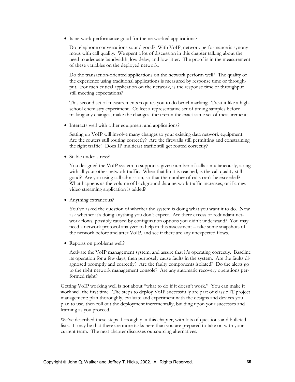• Is network performance good for the networked applications?

Do telephone conversations sound good? With VoIP, network performance is synonymous with call quality. We spent a lot of discussion in this chapter talking about the need to adequate bandwidth, low delay, and low jitter. The proof is in the measurement of these variables on the deployed network.

Do the transaction-oriented applications on the network perform well? The quality of the experience using traditional applications is measured by response time or throughput. For each critical application on the network, is the response time or throughput still meeting expectations?

This second set of measurements requires you to do benchmarking. Treat it like a highschool chemistry experiment. Collect a representative set of timing samples before making any changes, make the changes, then rerun the exact same set of measurements.

• Interacts well with other equipment and applications?

Setting up VoIP will involve many changes to your existing data network equipment. Are the routers still routing correctly? Are the firewalls still permitting and constraining the right traffic? Does IP multicast traffic still get routed correctly?

• Stable under stress?

You designed the VoIP system to support a given number of calls simultaneously, along with all your other network traffic. When that limit is reached, is the call quality still good? Are you using call admission, so that the number of calls can't be exceeded? What happens as the volume of background data network traffic increases, or if a new video streaming application is added?

• Anything extraneous?

You've asked the question of whether the system is doing what you want it to do. Now ask whether it's doing anything you don't expect. Are there excess or redundant network flows, possibly caused by configuration options you didn't understand? You may need a network protocol analyzer to help in this assessment – take some snapshots of the network before and after VoIP, and see if there are any unexpected flows.

• Reports on problems well?

Activate the VoIP management system, and assure that it's operating correctly. Baseline its operation for a few days, then purposely cause faults in the system. Are the faults diagnosed promptly and correctly? Are the faulty components isolated? Do the alerts go to the right network management console? Are any automatic recovery operations performed right?

Getting VoIP working well is not about "what to do if it doesn't work." You can make it work well the first time. The steps to deploy VoIP successfully are part of classic IT project management: plan thoroughly, evaluate and experiment with the designs and devices you plan to use, then roll out the deployment incrementally, building upon your successes and learning as you proceed.

We've described these steps thoroughly in this chapter, with lots of questions and bulleted lists. It may be that there are more tasks here than you are prepared to take on with your current team. The next chapter discusses outsourcing alternatives.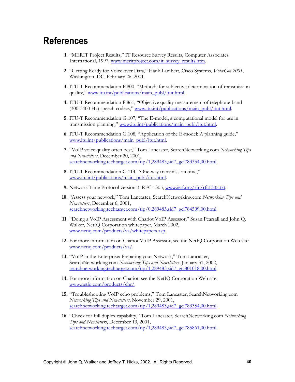# <span id="page-40-0"></span>**References**

- **1.** "MERIT Project Results," IT Resource Survey Results, Computer Associates International, 1997, [www.meritproject.com/it\\_survey\\_results.htm](http://www.meritproject.com/it_survey_results.htm).
- **2.** "Getting Ready for Voice over Data," Hank Lambert, Cisco Systems, *VoiceCon 2001*, Washington, DC, February 26, 2001.
- **3.** ITU-T Recommendation P.800, "Methods for subjective determination of transmission quality," [www.itu.int/publications/main\\_publ/itut.html.](http://www.itu.int/publications/main_publ/itut.html)
- **4.** ITU-T Recommendation P.861, "Objective quality measurement of telephone-band (300-3400 Hz) speech codecs," [www.itu.int/publications/main\\_publ/itut.html.](http://www.itu.int/publications/main_publ/itut.html)
- **5.** ITU-T Recommendation G.107, "The E-model, a computational model for use in transmission planning," [www.itu.int/publications/main\\_publ/itut.html.](http://www.itu.int/publications/main_publ/itut.html)
- **6.** ITU-T Recommendation G.108, "Application of the E-model: A planning guide," [www.itu.int/publications/main\\_publ/itut.html.](http://www.itu.int/publications/main_publ/itut.html)
- **7.** "VoIP voice quality often best," Tom Lancaster, SearchNetworking.com *Networking Tips and Newsletters*, December 20, 2001, [searchnetworking.techtarget.com/tip/1,289483,sid7\\_gci783354,00.html.](http://searchnetworking.techtarget.com/tip/1,289483,sid7_gci783354,00.html)
- **8.** ITU-T Recommendation G.114, "One-way transmission time," [www.itu.int/publications/main\\_publ/itut.html.](http://www.itu.int/publications/main_publ/itut.html)
- **9.** Network Time Protocol version 3, RFC 1305, [www.ietf.org/rfc/rfc1305.txt.](http://www.ietf.org/rfc/rfc1305.txt)
- **10.** "Assess your network," Tom Lancaster, SearchNetworking.com *Networking Tips and Newsletters*, December 6, 2001, [searchnetworking.techtarget.com/tip/0,289483,sid7\\_gci784599,00.html.](http://searchnetworking.techtarget.com/tip/0,289483,sid7_gci784599,00.html)
- **11.** "Doing a VoIP Assessment with Chariot VoIP Assessor," Susan Pearsall and John Q. Walker, NetIQ Corporation whitepaper, March 2002, [www.netiq.com/products/va/whitepapers.asp.](http://www.netiq.com/products/va/whitepapers.asp)
- **12.** For more information on Chariot VoIP Assessor, see the NetIQ Corporation Web site: [www.netiq.com/products/va/.](http://www.netiq.com/products/va/)
- **13.** "VoIP in the Enterprise: Preparing your Network," Tom Lancaster, SearchNetworking.com *Networking Tips and Newsletters*, January 31, 2002, [searchnetworking.techtarget.com/tip/1,289483,sid7\\_gci801018,00.html.](http://searchnetworking.techtarget.com/tip/1,289483,sid7_gci801018,00.html)
- **14.** For more information on Chariot, see the NetIQ Corporation Web site: [www.netiq.com/products/chr/.](http://www.netiq.com/products/chr/)
- **15.** "Troubleshooting VoIP echo problems," Tom Lancaster, SearchNetworking.com *Networking Tips and Newsletters*, November 29, 2001, [searchnetworking.techtarget.com/tip/1,289483,sid7\\_gci783354,00.html.](http://searchnetworking.techtarget.com/tip/1,289483,sid7_gci783354,00.html)
- **16.** "Check for full duplex capability," Tom Lancaster, SearchNetworking.com *Networking Tips and Newsletters*, December 13, 2001, [searchnetworking.techtarget.com/tip/1,289483,sid7\\_gci785861,00.html.](http://searchnetworking.techtarget.com/tip/1,289483,sid7_gci785861,00.html)